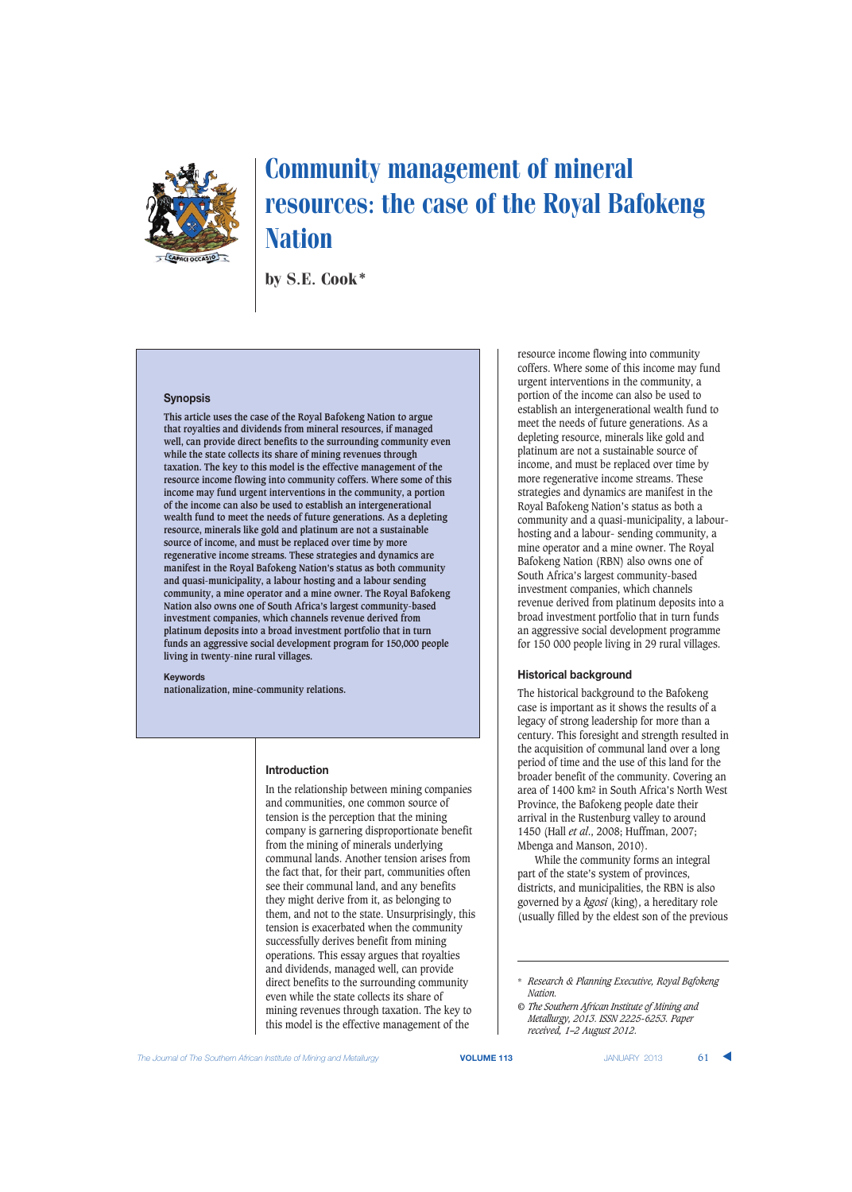

by S.E. Cook\*

#### **Synopsis**

**This article uses the case of the Royal Bafokeng Nation to argue that royalties and dividends from mineral resources, if managed well, can provide direct benefits to the surrounding community even while the state collects its share of mining revenues through taxation. The key to this model is the effective management of the resource income flowing into community coffers. Where some of this income may fund urgent interventions in the community, a portion of the income can also be used to establish an intergenerational wealth fund to meet the needs of future generations. As a depleting resource, minerals like gold and platinum are not a sustainable source of income, and must be replaced over time by more regenerative income streams. These strategies and dynamics are manifest in the Royal Bafokeng Nation's status as both community and quasi-municipality, a labour hosting and a labour sending community, a mine operator and a mine owner. The Royal Bafokeng Nation also owns one of South Africa's largest community-based investment companies, which channels revenue derived from platinum deposits into a broad investment portfolio that in turn funds an aggressive social development program for 150,000 people living in twenty-nine rural villages.**

#### **Keywords**

**nationalization, mine-community relations.**

## **Introduction**

In the relationship between mining companies and communities, one common source of tension is the perception that the mining company is garnering disproportionate benefit from the mining of minerals underlying communal lands. Another tension arises from the fact that, for their part, communities often see their communal land, and any benefits they might derive from it, as belonging to them, and not to the state. Unsurprisingly, this tension is exacerbated when the community successfully derives benefit from mining operations. This essay argues that royalties and dividends, managed well, can provide direct benefits to the surrounding community even while the state collects its share of mining revenues through taxation. The key to this model is the effective management of the

resource income flowing into community coffers. Where some of this income may fund urgent interventions in the community, a portion of the income can also be used to establish an intergenerational wealth fund to meet the needs of future generations. As a depleting resource, minerals like gold and platinum are not a sustainable source of income, and must be replaced over time by more regenerative income streams. These strategies and dynamics are manifest in the Royal Bafokeng Nation's status as both a community and a quasi-municipality, a labourhosting and a labour- sending community, a mine operator and a mine owner. The Royal Bafokeng Nation (RBN) also owns one of South Africa's largest community-based investment companies, which channels revenue derived from platinum deposits into a broad investment portfolio that in turn funds an aggressive social development programme for 150 000 people living in 29 rural villages.

## **Historical background**

The historical background to the Bafokeng case is important as it shows the results of a legacy of strong leadership for more than a century. This foresight and strength resulted in the acquisition of communal land over a long period of time and the use of this land for the broader benefit of the community. Covering an area of 1400 km2 in South Africa's North West Province, the Bafokeng people date their arrival in the Rustenburg valley to around 1450 (Hall *et al*., 2008; Huffman, 2007; Mbenga and Manson, 2010).

While the community forms an integral part of the state's system of provinces, districts, and municipalities, the RBN is also governed by a *kgosi* (king), a hereditary role (usually filled by the eldest son of the previous

**The Journal of The Southern African Institute of Mining and Metallurgy <b>VOLUME 113 VOLUME 113** JANUARY 2013 **61** 

<sup>\*</sup> *Research & Planning Executive, Royal Bafokeng Nation.*

*<sup>©</sup> The Southern African Institute of Mining and Metallurgy, 2013. ISSN 2225-6253. Paper received, 1–2 August 2012.*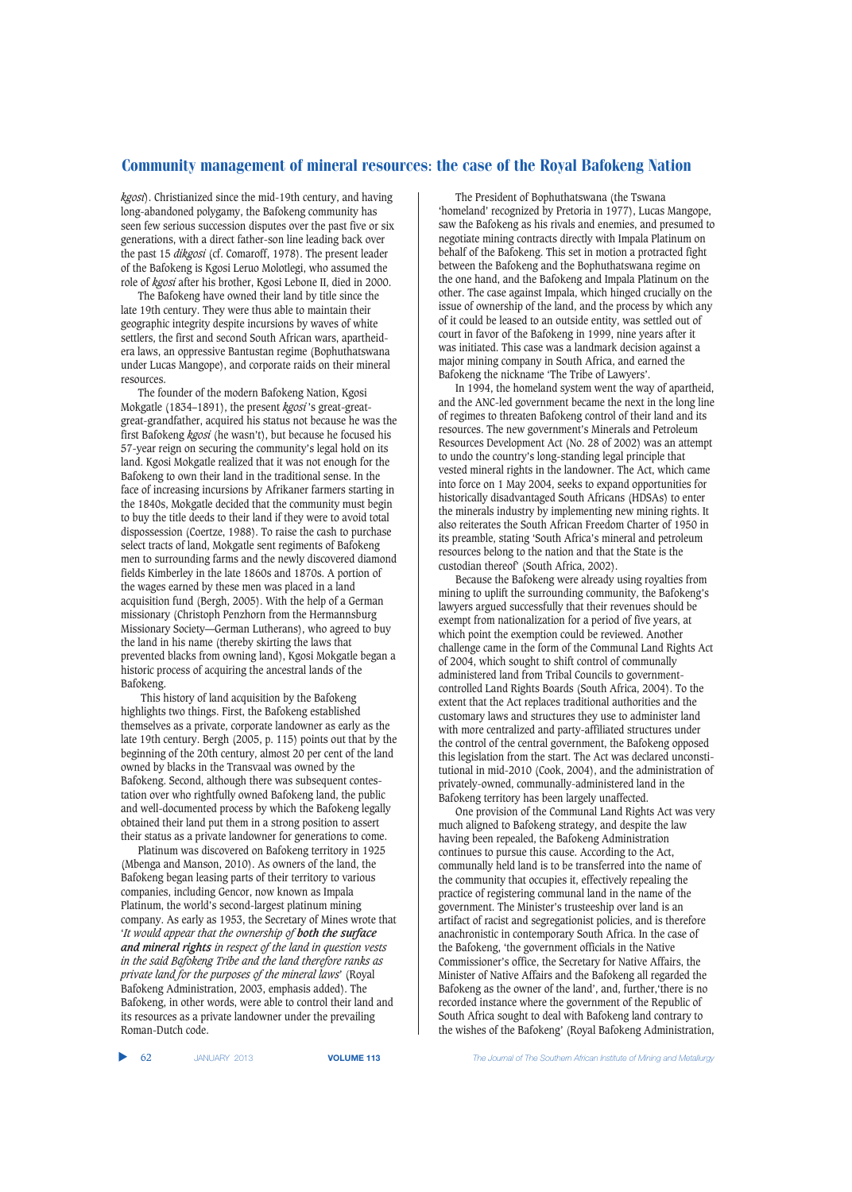*kgosi*). Christianized since the mid-19th century, and having long-abandoned polygamy, the Bafokeng community has seen few serious succession disputes over the past five or six generations, with a direct father-son line leading back over the past 15 *dikgosi* (cf. Comaroff, 1978). The present leader of the Bafokeng is Kgosi Leruo Molotlegi, who assumed the role of *kgosi* after his brother, Kgosi Lebone II, died in 2000.

The Bafokeng have owned their land by title since the late 19th century. They were thus able to maintain their geographic integrity despite incursions by waves of white settlers, the first and second South African wars, apartheidera laws, an oppressive Bantustan regime (Bophuthatswana under Lucas Mangope), and corporate raids on their mineral resources.

The founder of the modern Bafokeng Nation, Kgosi Mokgatle (1834–1891), the present *kgosi* 's great-greatgreat-grandfather, acquired his status not because he was the first Bafokeng *kgosi* (he wasn't), but because he focused his 57-year reign on securing the community's legal hold on its land. Kgosi Mokgatle realized that it was not enough for the Bafokeng to own their land in the traditional sense. In the face of increasing incursions by Afrikaner farmers starting in the 1840s, Mokgatle decided that the community must begin to buy the title deeds to their land if they were to avoid total dispossession (Coertze, 1988). To raise the cash to purchase select tracts of land, Mokgatle sent regiments of Bafokeng men to surrounding farms and the newly discovered diamond fields Kimberley in the late 1860s and 1870s. A portion of the wages earned by these men was placed in a land acquisition fund (Bergh, 2005). With the help of a German missionary (Christoph Penzhorn from the Hermannsburg Missionary Society—German Lutherans), who agreed to buy the land in his name (thereby skirting the laws that prevented blacks from owning land), Kgosi Mokgatle began a historic process of acquiring the ancestral lands of the Bafokeng.

This history of land acquisition by the Bafokeng highlights two things. First, the Bafokeng established themselves as a private, corporate landowner as early as the late 19th century. Bergh (2005, p. 115) points out that by the beginning of the 20th century, almost 20 per cent of the land owned by blacks in the Transvaal was owned by the Bafokeng. Second, although there was subsequent contestation over who rightfully owned Bafokeng land, the public and well-documented process by which the Bafokeng legally obtained their land put them in a strong position to assert their status as a private landowner for generations to come.

Platinum was discovered on Bafokeng territory in 1925 (Mbenga and Manson, 2010). As owners of the land, the Bafokeng began leasing parts of their territory to various companies, including Gencor, now known as Impala Platinum, the world's second-largest platinum mining company. As early as 1953, the Secretary of Mines wrote that '*It would appear that the ownership of both the surface and mineral rights in respect of the land in question vests in the said Bafokeng Tribe and the land therefore ranks as private land for the purposes of the mineral laws*' (Royal Bafokeng Administration, 2003, emphasis added). The Bafokeng, in other words, were able to control their land and its resources as a private landowner under the prevailing Roman-Dutch code.

The President of Bophuthatswana (the Tswana 'homeland' recognized by Pretoria in 1977), Lucas Mangope, saw the Bafokeng as his rivals and enemies, and presumed to negotiate mining contracts directly with Impala Platinum on behalf of the Bafokeng. This set in motion a protracted fight between the Bafokeng and the Bophuthatswana regime on the one hand, and the Bafokeng and Impala Platinum on the other. The case against Impala, which hinged crucially on the issue of ownership of the land, and the process by which any of it could be leased to an outside entity, was settled out of court in favor of the Bafokeng in 1999, nine years after it was initiated. This case was a landmark decision against a major mining company in South Africa, and earned the Bafokeng the nickname 'The Tribe of Lawyers'.

In 1994, the homeland system went the way of apartheid, and the ANC-led government became the next in the long line of regimes to threaten Bafokeng control of their land and its resources. The new government's Minerals and Petroleum Resources Development Act (No. 28 of 2002) was an attempt to undo the country's long-standing legal principle that vested mineral rights in the landowner. The Act, which came into force on 1 May 2004, seeks to expand opportunities for historically disadvantaged South Africans (HDSAs) to enter the minerals industry by implementing new mining rights. It also reiterates the South African Freedom Charter of 1950 in its preamble, stating 'South Africa's mineral and petroleum resources belong to the nation and that the State is the custodian thereof' (South Africa, 2002).

Because the Bafokeng were already using royalties from mining to uplift the surrounding community, the Bafokeng's lawyers argued successfully that their revenues should be exempt from nationalization for a period of five years, at which point the exemption could be reviewed. Another challenge came in the form of the Communal Land Rights Act of 2004, which sought to shift control of communally administered land from Tribal Councils to governmentcontrolled Land Rights Boards (South Africa, 2004). To the extent that the Act replaces traditional authorities and the customary laws and structures they use to administer land with more centralized and party-affiliated structures under the control of the central government, the Bafokeng opposed this legislation from the start. The Act was declared unconstitutional in mid-2010 (Cook, 2004), and the administration of privately-owned, communally-administered land in the Bafokeng territory has been largely unaffected.

One provision of the Communal Land Rights Act was very much aligned to Bafokeng strategy, and despite the law having been repealed, the Bafokeng Administration continues to pursue this cause. According to the Act, communally held land is to be transferred into the name of the community that occupies it, effectively repealing the practice of registering communal land in the name of the government. The Minister's trusteeship over land is an artifact of racist and segregationist policies, and is therefore anachronistic in contemporary South Africa. In the case of the Bafokeng, 'the government officials in the Native Commissioner's office, the Secretary for Native Affairs, the Minister of Native Affairs and the Bafokeng all regarded the Bafokeng as the owner of the land', and, further,'there is no recorded instance where the government of the Republic of South Africa sought to deal with Bafokeng land contrary to the wishes of the Bafokeng' (Royal Bafokeng Administration,

▲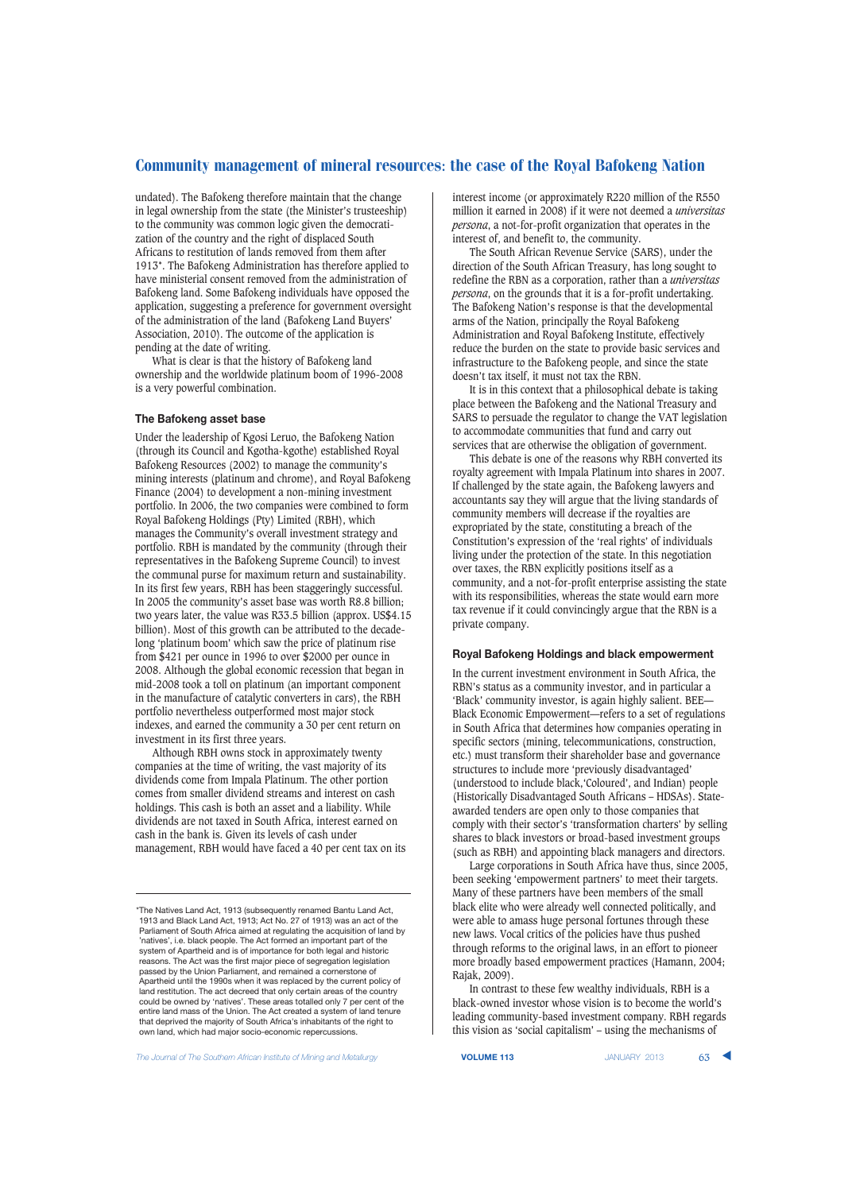undated). The Bafokeng therefore maintain that the change in legal ownership from the state (the Minister's trusteeship) to the community was common logic given the democratization of the country and the right of displaced South Africans to restitution of lands removed from them after 1913\*. The Bafokeng Administration has therefore applied to have ministerial consent removed from the administration of Bafokeng land. Some Bafokeng individuals have opposed the application, suggesting a preference for government oversight of the administration of the land (Bafokeng Land Buyers' Association, 2010). The outcome of the application is pending at the date of writing.

What is clear is that the history of Bafokeng land ownership and the worldwide platinum boom of 1996-2008 is a very powerful combination.

## **The Bafokeng asset base**

Under the leadership of Kgosi Leruo, the Bafokeng Nation (through its Council and Kgotha-kgothe) established Royal Bafokeng Resources (2002) to manage the community's mining interests (platinum and chrome), and Royal Bafokeng Finance (2004) to development a non-mining investment portfolio. In 2006, the two companies were combined to form Royal Bafokeng Holdings (Pty) Limited (RBH), which manages the Community's overall investment strategy and portfolio. RBH is mandated by the community (through their representatives in the Bafokeng Supreme Council) to invest the communal purse for maximum return and sustainability. In its first few years, RBH has been staggeringly successful. In 2005 the community's asset base was worth R8.8 billion; two years later, the value was R33.5 billion (approx. US\$4.15 billion). Most of this growth can be attributed to the decadelong 'platinum boom' which saw the price of platinum rise from \$421 per ounce in 1996 to over \$2000 per ounce in 2008. Although the global economic recession that began in mid-2008 took a toll on platinum (an important component in the manufacture of catalytic converters in cars), the RBH portfolio nevertheless outperformed most major stock indexes, and earned the community a 30 per cent return on investment in its first three years.

Although RBH owns stock in approximately twenty companies at the time of writing, the vast majority of its dividends come from Impala Platinum. The other portion comes from smaller dividend streams and interest on cash holdings. This cash is both an asset and a liability. While dividends are not taxed in South Africa, interest earned on cash in the bank is. Given its levels of cash under management, RBH would have faced a 40 per cent tax on its interest income (or approximately R220 million of the R550 million it earned in 2008) if it were not deemed a *universitas persona*, a not-for-profit organization that operates in the interest of, and benefit to, the community.

The South African Revenue Service (SARS), under the direction of the South African Treasury, has long sought to redefine the RBN as a corporation, rather than a *universitas persona*, on the grounds that it is a for-profit undertaking. The Bafokeng Nation's response is that the developmental arms of the Nation, principally the Royal Bafokeng Administration and Royal Bafokeng Institute, effectively reduce the burden on the state to provide basic services and infrastructure to the Bafokeng people, and since the state doesn't tax itself, it must not tax the RBN.

It is in this context that a philosophical debate is taking place between the Bafokeng and the National Treasury and SARS to persuade the regulator to change the VAT legislation to accommodate communities that fund and carry out services that are otherwise the obligation of government.

This debate is one of the reasons why RBH converted its royalty agreement with Impala Platinum into shares in 2007. If challenged by the state again, the Bafokeng lawyers and accountants say they will argue that the living standards of community members will decrease if the royalties are expropriated by the state, constituting a breach of the Constitution's expression of the 'real rights' of individuals living under the protection of the state. In this negotiation over taxes, the RBN explicitly positions itself as a community, and a not-for-profit enterprise assisting the state with its responsibilities, whereas the state would earn more tax revenue if it could convincingly argue that the RBN is a private company.

#### **Royal Bafokeng Holdings and black empowerment**

In the current investment environment in South Africa, the RBN's status as a community investor, and in particular a 'Black' community investor, is again highly salient. BEE— Black Economic Empowerment—refers to a set of regulations in South Africa that determines how companies operating in specific sectors (mining, telecommunications, construction, etc.) must transform their shareholder base and governance structures to include more 'previously disadvantaged' (understood to include black,'Coloured', and Indian) people (Historically Disadvantaged South Africans – HDSAs). Stateawarded tenders are open only to those companies that comply with their sector's 'transformation charters' by selling shares to black investors or broad-based investment groups (such as RBH) and appointing black managers and directors.

Large corporations in South Africa have thus, since 2005, been seeking 'empowerment partners' to meet their targets. Many of these partners have been members of the small black elite who were already well connected politically, and were able to amass huge personal fortunes through these new laws. Vocal critics of the policies have thus pushed through reforms to the original laws, in an effort to pioneer more broadly based empowerment practices (Hamann, 2004; Rajak, 2009).

In contrast to these few wealthy individuals, RBH is a black-owned investor whose vision is to become the world's leading community-based investment company. RBH regards this vision as 'social capitalism' – using the mechanisms of

**The Journal of The Southern African Institute of Mining and Metallurgy <b>VOLUME 113 VOLUME 113** JANUARY 2013 **63** 

<sup>\*</sup>The Natives Land Act, 1913 (subsequently renamed Bantu Land Act, 1913 and Black Land Act, 1913; Act No. 27 of 1913) was an act of the Parliament of South Africa aimed at regulating the acquisition of land by 'natives', i.e. black people. The Act formed an important part of the system of Apartheid and is of importance for both legal and historic reasons. The Act was the first major piece of segregation legislation passed by the Union Parliament, and remained a cornerstone of Apartheid until the 1990s when it was replaced by the current policy of land restitution. The act decreed that only certain areas of the country could be owned by 'natives'. These areas totalled only 7 per cent of the entire land mass of the Union. The Act created a system of land tenure that deprived the majority of South Africa's inhabitants of the right to own land, which had major socio-economic repercussions.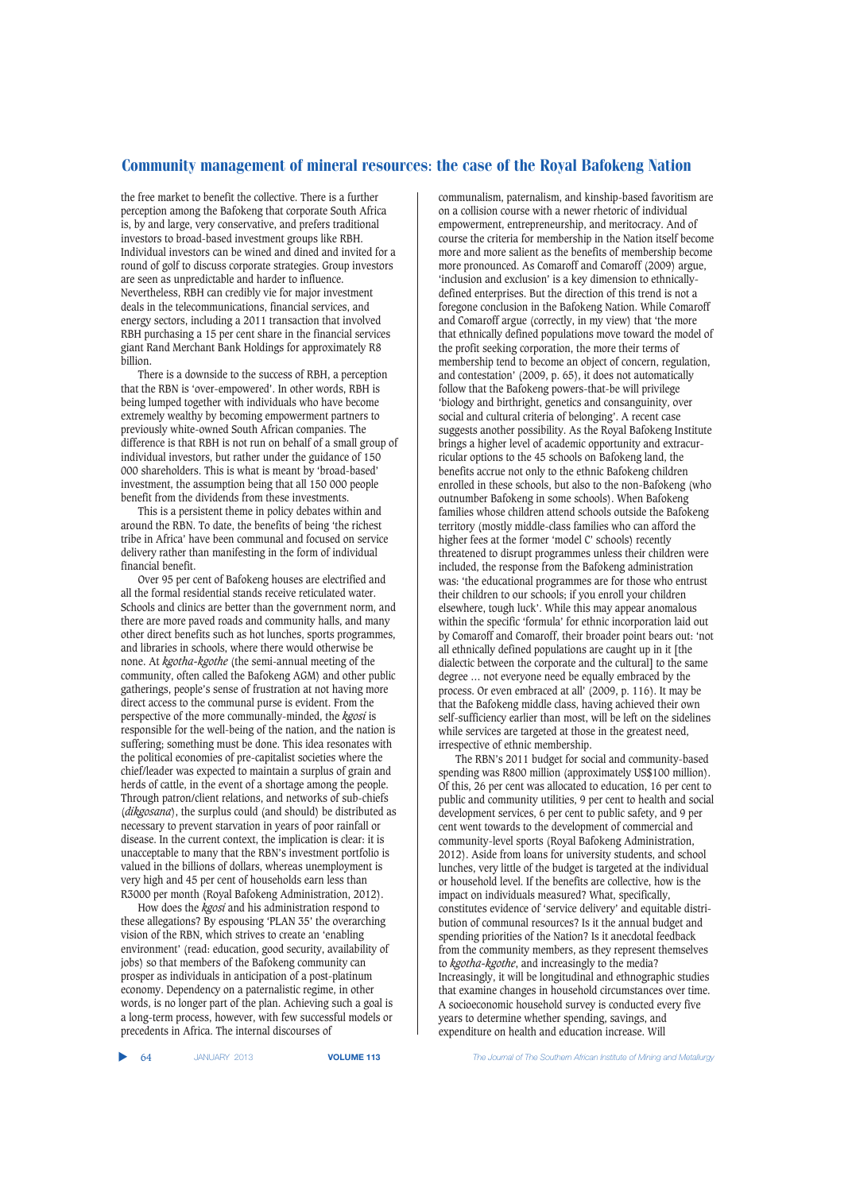the free market to benefit the collective. There is a further perception among the Bafokeng that corporate South Africa is, by and large, very conservative, and prefers traditional investors to broad-based investment groups like RBH. Individual investors can be wined and dined and invited for a round of golf to discuss corporate strategies. Group investors are seen as unpredictable and harder to influence. Nevertheless, RBH can credibly vie for major investment deals in the telecommunications, financial services, and energy sectors, including a 2011 transaction that involved RBH purchasing a 15 per cent share in the financial services giant Rand Merchant Bank Holdings for approximately R8 billion.

There is a downside to the success of RBH, a perception that the RBN is 'over-empowered'. In other words, RBH is being lumped together with individuals who have become extremely wealthy by becoming empowerment partners to previously white-owned South African companies. The difference is that RBH is not run on behalf of a small group of individual investors, but rather under the guidance of 150 000 shareholders. This is what is meant by 'broad-based' investment, the assumption being that all 150 000 people benefit from the dividends from these investments.

This is a persistent theme in policy debates within and around the RBN. To date, the benefits of being 'the richest tribe in Africa' have been communal and focused on service delivery rather than manifesting in the form of individual financial benefit.

Over 95 per cent of Bafokeng houses are electrified and all the formal residential stands receive reticulated water. Schools and clinics are better than the government norm, and there are more paved roads and community halls, and many other direct benefits such as hot lunches, sports programmes, and libraries in schools, where there would otherwise be none. At *kgotha-kgothe* (the semi-annual meeting of the community, often called the Bafokeng AGM) and other public gatherings, people's sense of frustration at not having more direct access to the communal purse is evident. From the perspective of the more communally-minded, the *kgosi* is responsible for the well-being of the nation, and the nation is suffering; something must be done. This idea resonates with the political economies of pre-capitalist societies where the chief/leader was expected to maintain a surplus of grain and herds of cattle, in the event of a shortage among the people. Through patron/client relations, and networks of sub-chiefs (*dikgosana*), the surplus could (and should) be distributed as necessary to prevent starvation in years of poor rainfall or disease. In the current context, the implication is clear: it is unacceptable to many that the RBN's investment portfolio is valued in the billions of dollars, whereas unemployment is very high and 45 per cent of households earn less than R3000 per month (Royal Bafokeng Administration, 2012).

How does the *kgosi* and his administration respond to these allegations? By espousing 'PLAN 35' the overarching vision of the RBN, which strives to create an 'enabling environment' (read: education, good security, availability of jobs) so that members of the Bafokeng community can prosper as individuals in anticipation of a post-platinum economy. Dependency on a paternalistic regime, in other words, is no longer part of the plan. Achieving such a goal is a long-term process, however, with few successful models or precedents in Africa. The internal discourses of

communalism, paternalism, and kinship-based favoritism are on a collision course with a newer rhetoric of individual empowerment, entrepreneurship, and meritocracy. And of course the criteria for membership in the Nation itself become more and more salient as the benefits of membership become more pronounced. As Comaroff and Comaroff (2009) argue, 'inclusion and exclusion' is a key dimension to ethnicallydefined enterprises. But the direction of this trend is not a foregone conclusion in the Bafokeng Nation. While Comaroff and Comaroff argue (correctly, in my view) that 'the more that ethnically defined populations move toward the model of the profit seeking corporation, the more their terms of membership tend to become an object of concern, regulation, and contestation' (2009, p. 65), it does not automatically follow that the Bafokeng powers-that-be will privilege 'biology and birthright, genetics and consanguinity, over social and cultural criteria of belonging'. A recent case suggests another possibility. As the Royal Bafokeng Institute brings a higher level of academic opportunity and extracurricular options to the 45 schools on Bafokeng land, the benefits accrue not only to the ethnic Bafokeng children enrolled in these schools, but also to the non-Bafokeng (who outnumber Bafokeng in some schools). When Bafokeng families whose children attend schools outside the Bafokeng territory (mostly middle-class families who can afford the higher fees at the former 'model C' schools) recently threatened to disrupt programmes unless their children were included, the response from the Bafokeng administration was: 'the educational programmes are for those who entrust their children to our schools; if you enroll your children elsewhere, tough luck'. While this may appear anomalous within the specific 'formula' for ethnic incorporation laid out by Comaroff and Comaroff, their broader point bears out: 'not all ethnically defined populations are caught up in it [the dialectic between the corporate and the cultural] to the same degree … not everyone need be equally embraced by the process. Or even embraced at all' (2009, p. 116). It may be that the Bafokeng middle class, having achieved their own self-sufficiency earlier than most, will be left on the sidelines while services are targeted at those in the greatest need, irrespective of ethnic membership.

The RBN's 2011 budget for social and community-based spending was R800 million (approximately US\$100 million). Of this, 26 per cent was allocated to education, 16 per cent to public and community utilities, 9 per cent to health and social development services, 6 per cent to public safety, and 9 per cent went towards to the development of commercial and community-level sports (Royal Bafokeng Administration, 2012). Aside from loans for university students, and school lunches, very little of the budget is targeted at the individual or household level. If the benefits are collective, how is the impact on individuals measured? What, specifically, constitutes evidence of 'service delivery' and equitable distribution of communal resources? Is it the annual budget and spending priorities of the Nation? Is it anecdotal feedback from the community members, as they represent themselves to *kgotha-kgothe*, and increasingly to the media? Increasingly, it will be longitudinal and ethnographic studies that examine changes in household circumstances over time. A socioeconomic household survey is conducted every five years to determine whether spending, savings, and expenditure on health and education increase. Will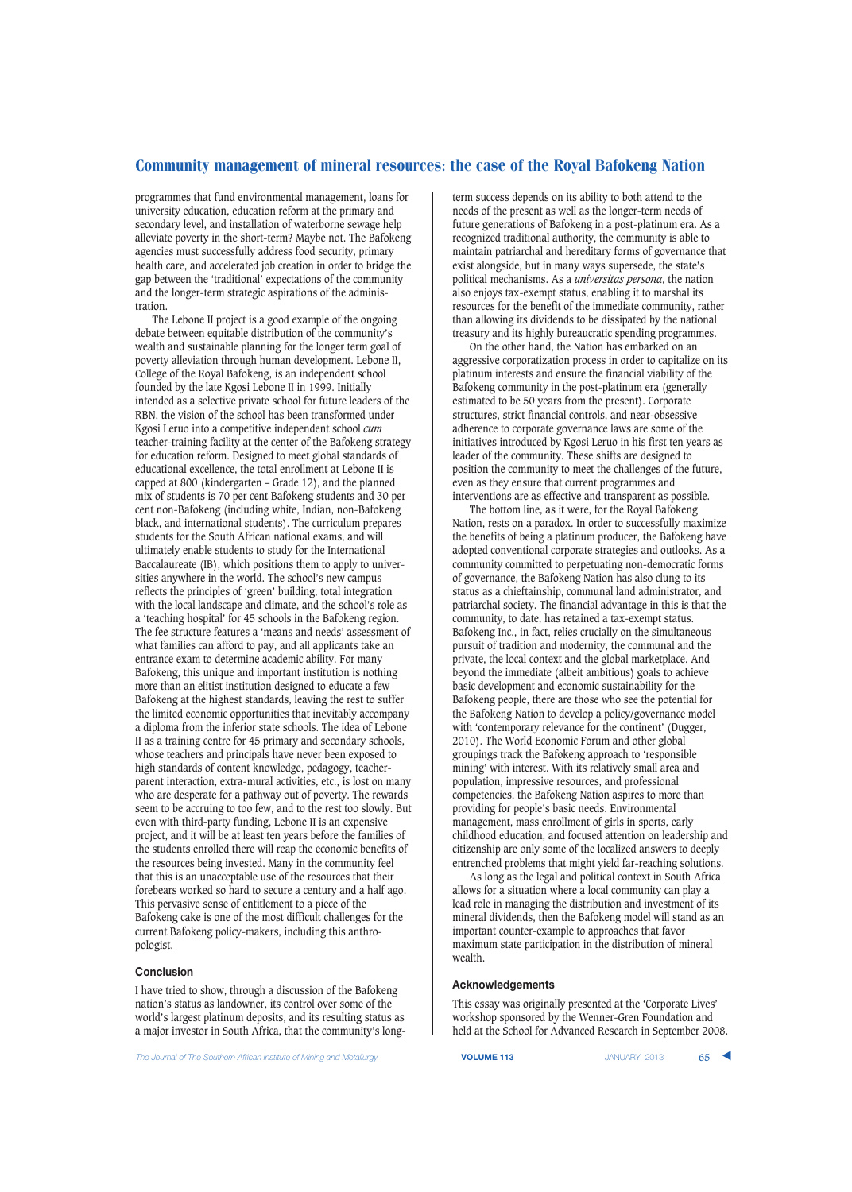programmes that fund environmental management, loans for university education, education reform at the primary and secondary level, and installation of waterborne sewage help alleviate poverty in the short-term? Maybe not. The Bafokeng agencies must successfully address food security, primary health care, and accelerated job creation in order to bridge the gap between the 'traditional' expectations of the community and the longer-term strategic aspirations of the administration.

The Lebone II project is a good example of the ongoing debate between equitable distribution of the community's wealth and sustainable planning for the longer term goal of poverty alleviation through human development. Lebone II, College of the Royal Bafokeng, is an independent school founded by the late Kgosi Lebone II in 1999. Initially intended as a selective private school for future leaders of the RBN, the vision of the school has been transformed under Kgosi Leruo into a competitive independent school *cum* teacher-training facility at the center of the Bafokeng strategy for education reform. Designed to meet global standards of educational excellence, the total enrollment at Lebone II is capped at 800 (kindergarten – Grade 12), and the planned mix of students is 70 per cent Bafokeng students and 30 per cent non-Bafokeng (including white, Indian, non-Bafokeng black, and international students). The curriculum prepares students for the South African national exams, and will ultimately enable students to study for the International Baccalaureate (IB), which positions them to apply to universities anywhere in the world. The school's new campus reflects the principles of 'green' building, total integration with the local landscape and climate, and the school's role as a 'teaching hospital' for 45 schools in the Bafokeng region. The fee structure features a 'means and needs' assessment of what families can afford to pay, and all applicants take an entrance exam to determine academic ability. For many Bafokeng, this unique and important institution is nothing more than an elitist institution designed to educate a few Bafokeng at the highest standards, leaving the rest to suffer the limited economic opportunities that inevitably accompany a diploma from the inferior state schools. The idea of Lebone II as a training centre for 45 primary and secondary schools, whose teachers and principals have never been exposed to high standards of content knowledge, pedagogy, teacherparent interaction, extra-mural activities, etc., is lost on many who are desperate for a pathway out of poverty. The rewards seem to be accruing to too few, and to the rest too slowly. But even with third-party funding, Lebone II is an expensive project, and it will be at least ten years before the families of the students enrolled there will reap the economic benefits of the resources being invested. Many in the community feel that this is an unacceptable use of the resources that their forebears worked so hard to secure a century and a half ago. This pervasive sense of entitlement to a piece of the Bafokeng cake is one of the most difficult challenges for the current Bafokeng policy-makers, including this anthropologist.

## **Conclusion**

I have tried to show, through a discussion of the Bafokeng nation's status as landowner, its control over some of the world's largest platinum deposits, and its resulting status as a major investor in South Africa, that the community's long-

**The Journal of The Southern African Institute of Mining and Metallurgy <b>VOLUME 113 VOLUME 113** JANUARY 2013 **65** 

term success depends on its ability to both attend to the needs of the present as well as the longer-term needs of future generations of Bafokeng in a post-platinum era. As a recognized traditional authority, the community is able to maintain patriarchal and hereditary forms of governance that exist alongside, but in many ways supersede, the state's political mechanisms. As a *universitas persona*, the nation also enjoys tax-exempt status, enabling it to marshal its resources for the benefit of the immediate community, rather than allowing its dividends to be dissipated by the national treasury and its highly bureaucratic spending programmes.

On the other hand, the Nation has embarked on an aggressive corporatization process in order to capitalize on its platinum interests and ensure the financial viability of the Bafokeng community in the post-platinum era (generally estimated to be 50 years from the present). Corporate structures, strict financial controls, and near-obsessive adherence to corporate governance laws are some of the initiatives introduced by Kgosi Leruo in his first ten years as leader of the community. These shifts are designed to position the community to meet the challenges of the future, even as they ensure that current programmes and interventions are as effective and transparent as possible.

The bottom line, as it were, for the Royal Bafokeng Nation, rests on a paradox. In order to successfully maximize the benefits of being a platinum producer, the Bafokeng have adopted conventional corporate strategies and outlooks. As a community committed to perpetuating non-democratic forms of governance, the Bafokeng Nation has also clung to its status as a chieftainship, communal land administrator, and patriarchal society. The financial advantage in this is that the community, to date, has retained a tax-exempt status. Bafokeng Inc., in fact, relies crucially on the simultaneous pursuit of tradition and modernity, the communal and the private, the local context and the global marketplace. And beyond the immediate (albeit ambitious) goals to achieve basic development and economic sustainability for the Bafokeng people, there are those who see the potential for the Bafokeng Nation to develop a policy/governance model with 'contemporary relevance for the continent' (Dugger, 2010). The World Economic Forum and other global groupings track the Bafokeng approach to 'responsible mining' with interest. With its relatively small area and population, impressive resources, and professional competencies, the Bafokeng Nation aspires to more than providing for people's basic needs. Environmental management, mass enrollment of girls in sports, early childhood education, and focused attention on leadership and citizenship are only some of the localized answers to deeply entrenched problems that might yield far-reaching solutions.

As long as the legal and political context in South Africa allows for a situation where a local community can play a lead role in managing the distribution and investment of its mineral dividends, then the Bafokeng model will stand as an important counter-example to approaches that favor maximum state participation in the distribution of mineral wealth.

## **Acknowledgements**

This essay was originally presented at the 'Corporate Lives' workshop sponsored by the Wenner-Gren Foundation and held at the School for Advanced Research in September 2008.